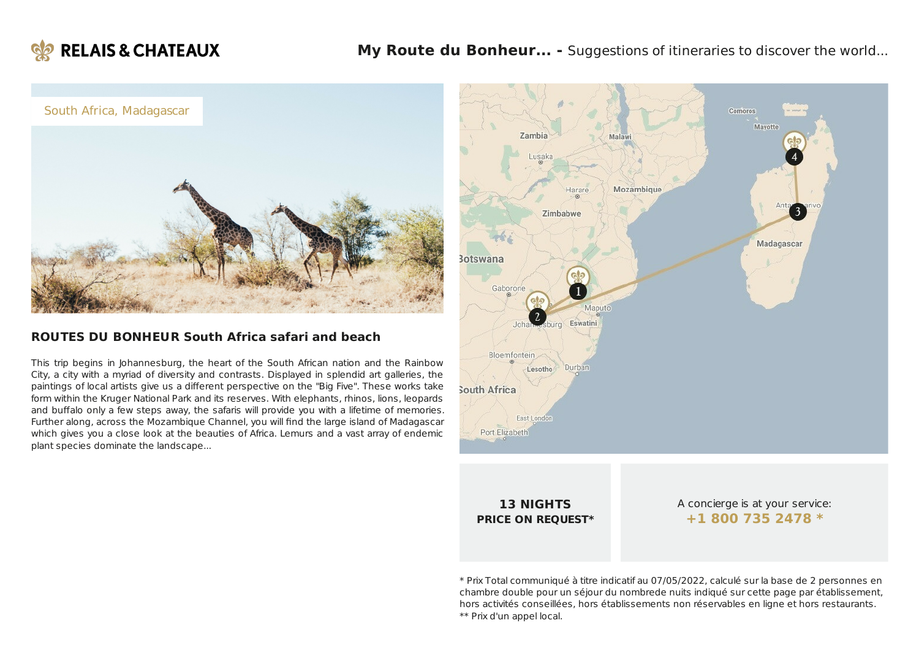



### **ROUTES DU BONHEUR South Africa safari and beach**

This trip begins in Johannesburg, the heart of the South African nation and the Rainbow City, a city with a myriad of diversity and contrasts. Displayed in splendid art galleries, the paintings of local artists give us a different perspective on the "Big Five". These works take form within the Kruger National Park and its reserves. With elephants, rhinos, lions, leopards and buffalo only a few steps away, the safaris will provide you with a lifetime of memories. Further along, across the Mozambique Channel, you will find the large island of Madagascar which gives you a close look at the beauties of Africa. Lemurs and a vast array of endemic plant species dominate the landscape...



**13 NIGHTS PRICE ON REQUEST\***

A concierge is at your service: **+1 800 735 [2478](tel:+18007352478) \***

\* Prix Total communiqué à titre indicatif au 07/05/2022, calculé sur la base de 2 personnes en chambre double pour un séjour du nombrede nuits indiqué sur cette page par établissement, hors activités conseillées, hors établissements non réservables en ligne et hors restaurants. \*\* Prix d'un appel local.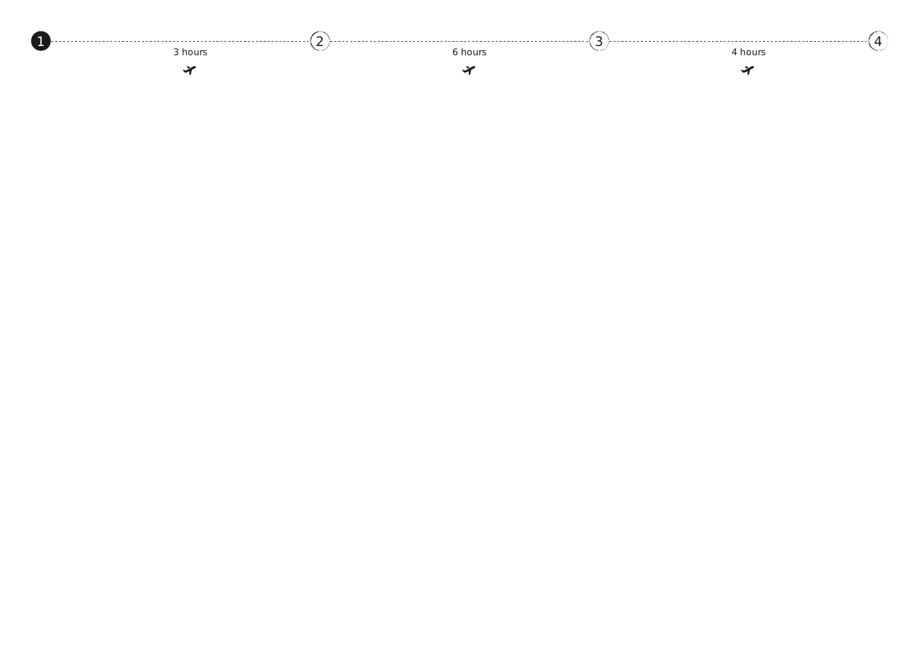<span id="page-1-0"></span>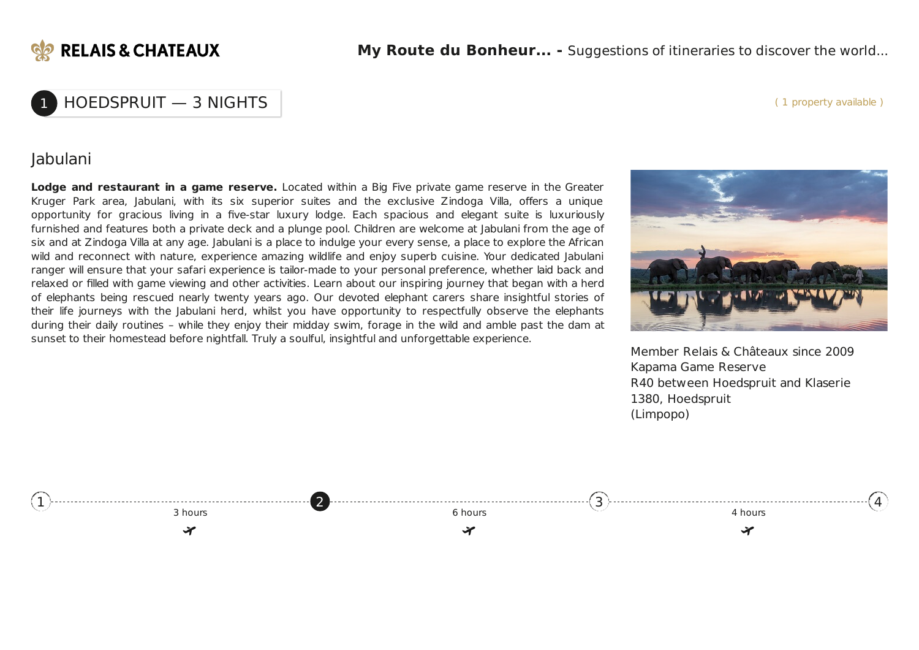

1 HOEDSPRUIT — 3 NIGHTS

#### ( 1 property available )

## Jabulani

**Lodge and restaurant in a game reserve.** Located within a Big Five private game reserve in the Greater Kruger Park area, Jabulani, with its six superior suites and the exclusive Zindoga Villa, offers a unique opportunity for gracious living in a five-star luxury lodge. Each spacious and elegant suite is luxuriously furnished and features both a private deck and a plunge pool. Children are welcome at Jabulani from the age of six and at Zindoga Villa at any age. Jabulani is a place to indulge your every sense, a place to explore the African wild and reconnect with nature, experience amazing wildlife and enjoy superb cuisine. Your dedicated Jabulani ranger will ensure that your safari experience is tailor-made to your personal preference, whether laid back and relaxed or filled with game viewing and other activities. Learn about our inspiring journey that began with a herd of elephants being rescued nearly twenty years ago. Our devoted elephant carers share insightful stories of their life journeys with the Jabulani herd, whilst you have opportunity to respectfully observe the elephants during their daily routines – while they enjoy their midday swim, forage in the wild and amble past the dam at sunset to their homestead before nightfall. Truly a soulful, insightful and unforgettable experience.



Member Relais & Châteaux since 2009 Kapama Game Reserve R40 between Hoedspruit and Klaserie 1380, Hoedspruit (Limpopo)

<span id="page-2-0"></span>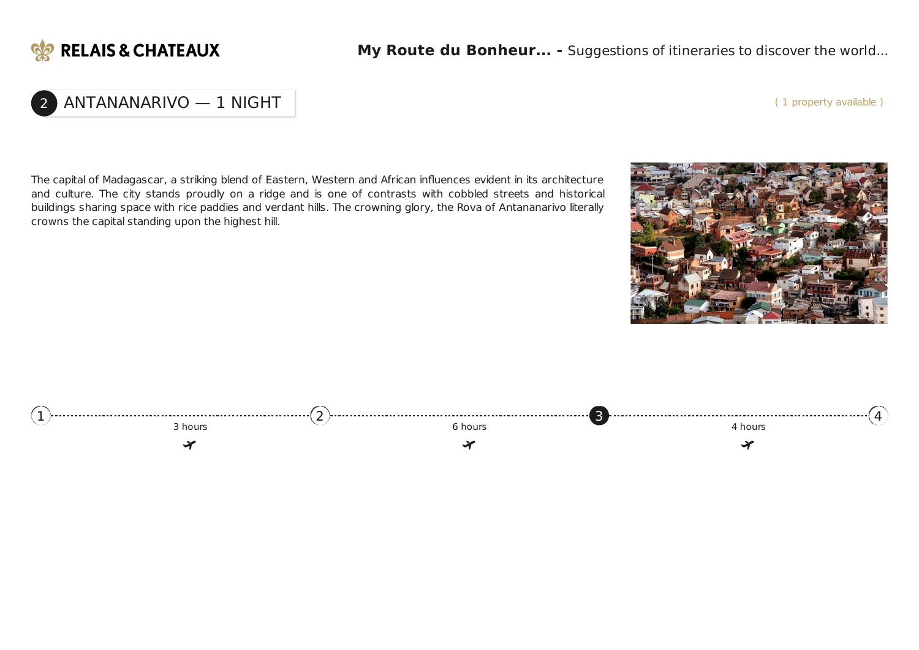

### ( 1 property available )

# 2 ANTANANARIVO — 1 NIGHT

The capital of Madagascar, a striking blend of Eastern, Western and African influences evident in its architecture and culture. The city stands proudly on a ridge and is one of contrasts with cobbled streets and historical buildings sharing space with rice paddies and verdant hills. The crowning glory, the Rova of Antananarivo literally crowns the capital standing upon the highest hill.



<span id="page-3-0"></span>